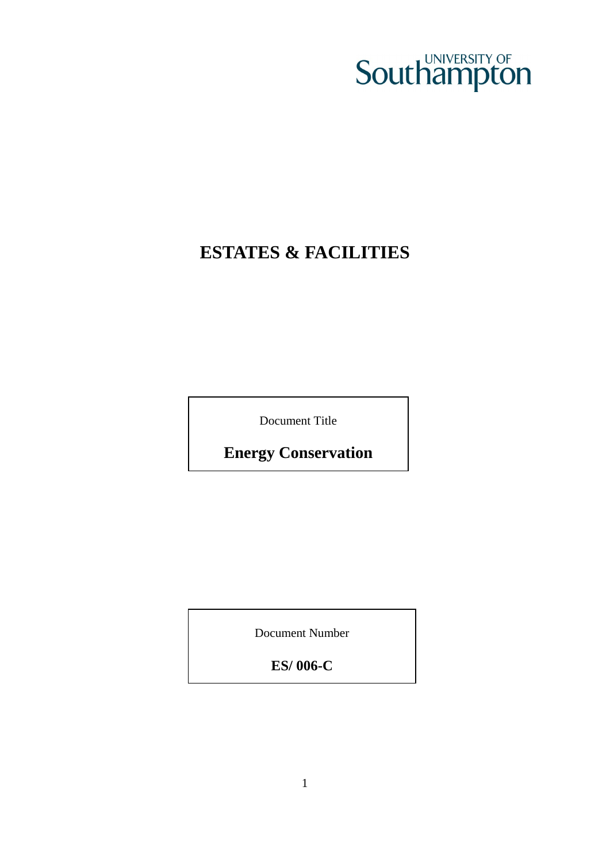# **Southampton**

# **ESTATES & FACILITIES**

Document Title

**Energy Conservation** 

Document Number

**ES/ 006-C**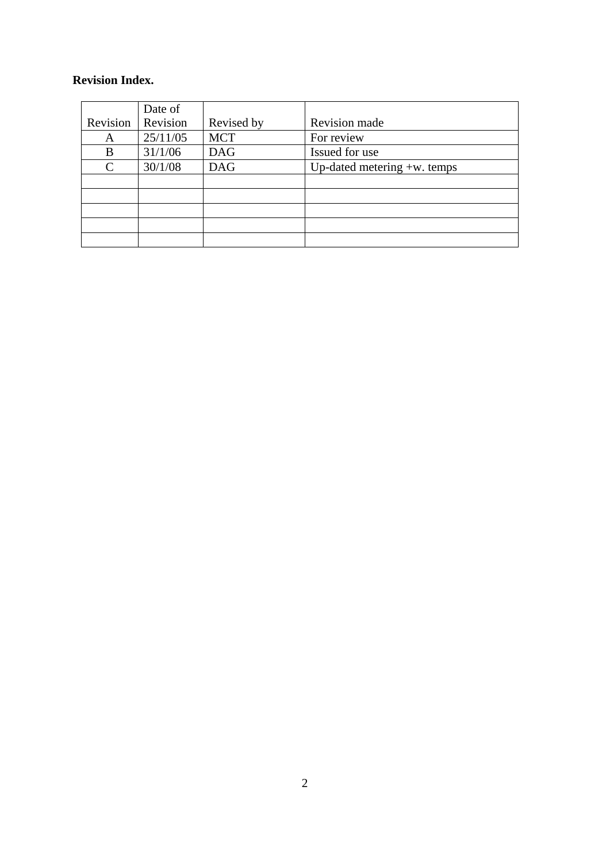#### **Revision Index.**

|               | Date of  |            |                                |
|---------------|----------|------------|--------------------------------|
| Revision      | Revision | Revised by | Revision made                  |
| A             | 25/11/05 | <b>MCT</b> | For review                     |
| B             | 31/1/06  | <b>DAG</b> | Issued for use                 |
| $\mathcal{C}$ | 30/1/08  | <b>DAG</b> | Up-dated metering $+w$ . temps |
|               |          |            |                                |
|               |          |            |                                |
|               |          |            |                                |
|               |          |            |                                |
|               |          |            |                                |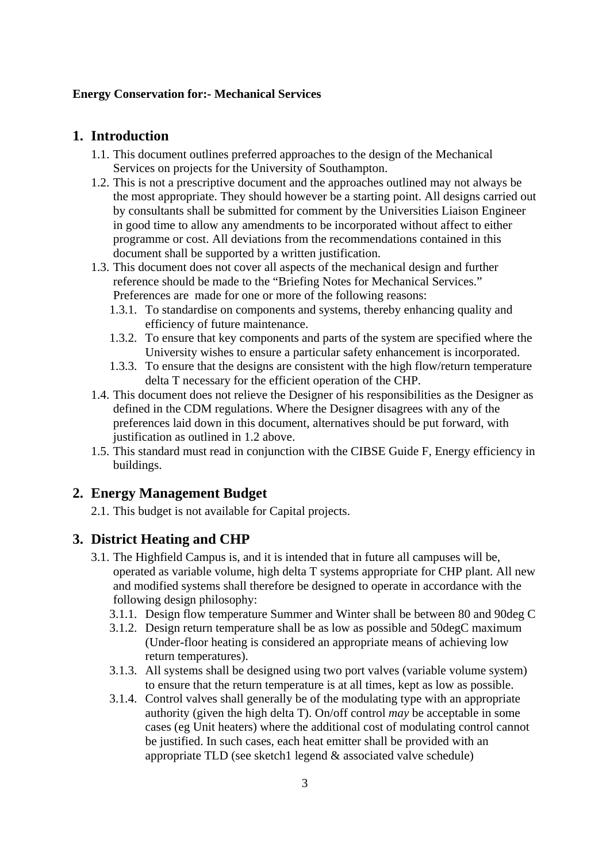#### **Energy Conservation for:- Mechanical Services**

#### <span id="page-2-0"></span>**1. Introduction**

- 1.1. This document outlines preferred approaches to the design of the Mechanical Services on projects for the University of Southampton.
- 1.2. This is not a prescriptive document and the approaches outlined may not always be the most appropriate. They should however be a starting point. All designs carried out by consultants shall be submitted for comment by the Universities Liaison Engineer in good time to allow any amendments to be incorporated without affect to either programme or cost. All deviations from the recommendations contained in this document shall be supported by a written justification.
- 1.3. This document does not cover all aspects of the mechanical design and further reference should be made to the "Briefing Notes for Mechanical Services." Preferences are made for one or more of the following reasons:
	- 1.3.1. To standardise on components and systems, thereby enhancing quality and efficiency of future maintenance.
	- 1.3.2. To ensure that key components and parts of the system are specified where the University wishes to ensure a particular safety enhancement is incorporated.
	- 1.3.3. To ensure that the designs are consistent with the high flow/return temperature delta T necessary for the efficient operation of the CHP.
- 1.4. This document does not relieve the Designer of his responsibilities as the Designer as defined in the CDM regulations. Where the Designer disagrees with any of the preferences laid down in this document, alternatives should be put forward, with justification as outlined in [1.2 above](#page-2-0).
- 1.5. This standard must read in conjunction with the CIBSE Guide F, Energy efficiency in buildings.

#### **2. Energy Management Budget**

2.1. This budget is not available for Capital projects.

#### **3. District Heating and CHP**

- 3.1. The Highfield Campus is, and it is intended that in future all campuses will be, operated as variable volume, high delta T systems appropriate for CHP plant. All new and modified systems shall therefore be designed to operate in accordance with the following design philosophy:
	- 3.1.1. Design flow temperature Summer and Winter shall be between 80 and 90deg C
	- 3.1.2. Design return temperature shall be as low as possible and 50degC maximum (Under-floor heating is considered an appropriate means of achieving low return temperatures).
	- 3.1.3. All systems shall be designed using two port valves (variable volume system) to ensure that the return temperature is at all times, kept as low as possible.
	- 3.1.4. Control valves shall generally be of the modulating type with an appropriate authority (given the high delta T). On/off control *may* be acceptable in some cases (eg Unit heaters) where the additional cost of modulating control cannot be justified. In such cases, each heat emitter shall be provided with an appropriate TLD (see sketch1 legend  $&$  associated valve schedule)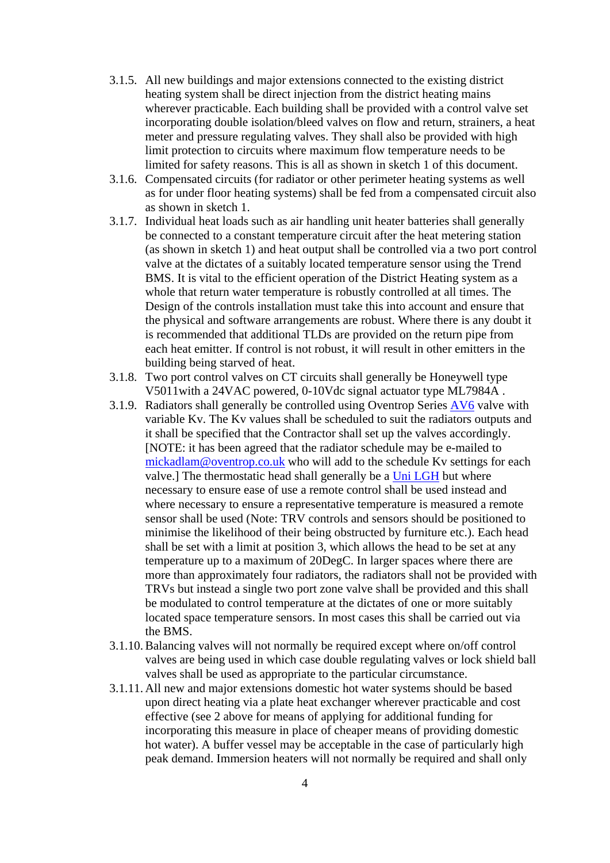- 3.1.5. All new buildings and major extensions connected to the existing district heating system shall be direct injection from the district heating mains wherever practicable. Each building shall be provided with a control valve set incorporating double isolation/bleed valves on flow and return, strainers, a heat meter and pressure regulating valves. They shall also be provided with high limit protection to circuits where maximum flow temperature needs to be limited for safety reasons. This is all as shown in sketch 1 of this document.
- 3.1.6. Compensated circuits (for radiator or other perimeter heating systems as well as for under floor heating systems) shall be fed from a compensated circuit also as shown in sketch 1.
- 3.1.7. Individual heat loads such as air handling unit heater batteries shall generally be connected to a constant temperature circuit after the heat metering station (as shown in sketch 1) and heat output shall be controlled via a two port control valve at the dictates of a suitably located temperature sensor using the Trend BMS. It is vital to the efficient operation of the District Heating system as a whole that return water temperature is robustly controlled at all times. The Design of the controls installation must take this into account and ensure that the physical and software arrangements are robust. Where there is any doubt it is recommended that additional TLDs are provided on the return pipe from each heat emitter. If control is not robust, it will result in other emitters in the building being starved of heat.
- 3.1.8. Two port control valves on CT circuits shall generally be Honeywell type V5011with a 24VAC powered, 0-10Vdc signal actuator type ML7984A .
- 3.1.9. Radiators shall generally be controlled using Oventrop Series [AV6](http://www.oventrop.co.uk/en/products/pg.asp?wg=012&pg=1) valve with variable Kv. The Kv values shall be scheduled to suit the radiators outputs and it shall be specified that the Contractor shall set up the valves accordingly. [NOTE: it has been agreed that the radiator schedule may be e-mailed to [mickadlam@oventrop.co.uk](mailto:mickadlam@oventrop.co.uk) who will add to the schedule Kv settings for each valve.] The thermostatic head shall generally be a [Uni LGH](http://www.oventrop.co.uk/en/products/article.asp?art=1018561) but where necessary to ensure ease of use a remote control shall be used instead and where necessary to ensure a representative temperature is measured a remote sensor shall be used (Note: TRV controls and sensors should be positioned to minimise the likelihood of their being obstructed by furniture etc.). Each head shall be set with a limit at position 3, which allows the head to be set at any temperature up to a maximum of 20DegC. In larger spaces where there are more than approximately four radiators, the radiators shall not be provided with TRVs but instead a single two port zone valve shall be provided and this shall be modulated to control temperature at the dictates of one or more suitably located space temperature sensors. In most cases this shall be carried out via the BMS.
- 3.1.10.Balancing valves will not normally be required except where on/off control valves are being used in which case double regulating valves or lock shield ball valves shall be used as appropriate to the particular circumstance.
- 3.1.11. All new and major extensions domestic hot water systems should be based upon direct heating via a plate heat exchanger wherever practicable and cost effective (see 2 above for means of applying for additional funding for incorporating this measure in place of cheaper means of providing domestic hot water). A buffer vessel may be acceptable in the case of particularly high peak demand. Immersion heaters will not normally be required and shall only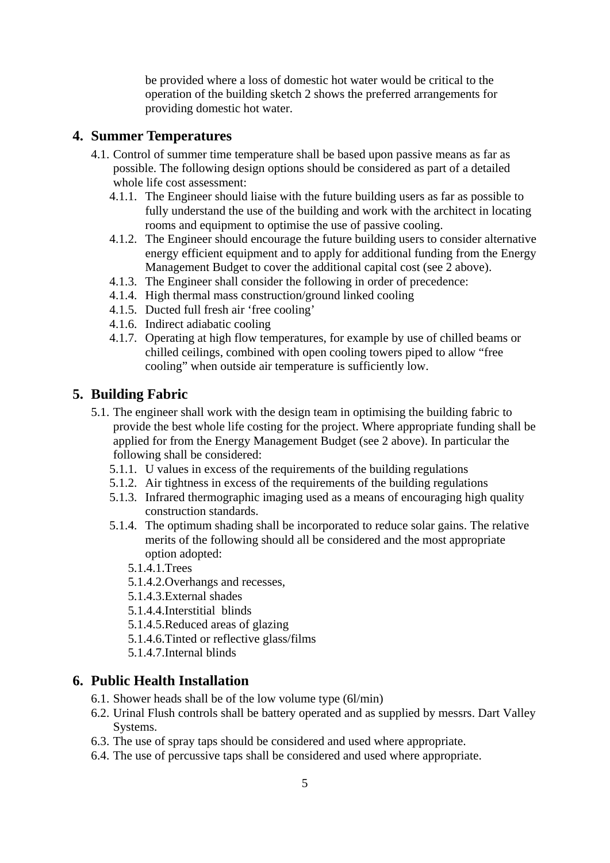be provided where a loss of domestic hot water would be critical to the operation of the building sketch 2 shows the preferred arrangements for providing domestic hot water.

## **4. Summer Temperatures**

- 4.1. Control of summer time temperature shall be based upon passive means as far as possible. The following design options should be considered as part of a detailed whole life cost assessment:
	- 4.1.1. The Engineer should liaise with the future building users as far as possible to fully understand the use of the building and work with the architect in locating rooms and equipment to optimise the use of passive cooling.
	- 4.1.2. The Engineer should encourage the future building users to consider alternative energy efficient equipment and to apply for additional funding from the Energy Management Budget to cover the additional capital cost (see 2 above).
	- 4.1.3. The Engineer shall consider the following in order of precedence:
	- 4.1.4. High thermal mass construction/ground linked cooling
	- 4.1.5. Ducted full fresh air 'free cooling'
	- 4.1.6. Indirect adiabatic cooling
	- 4.1.7. Operating at high flow temperatures, for example by use of chilled beams or chilled ceilings, combined with open cooling towers piped to allow "free cooling" when outside air temperature is sufficiently low.

## **5. Building Fabric**

- 5.1. The engineer shall work with the design team in optimising the building fabric to provide the best whole life costing for the project. Where appropriate funding shall be applied for from the Energy Management Budget (see 2 above). In particular the following shall be considered:
	- 5.1.1. U values in excess of the requirements of the building regulations
	- 5.1.2. Air tightness in excess of the requirements of the building regulations
	- 5.1.3. Infrared thermographic imaging used as a means of encouraging high quality construction standards.
	- 5.1.4. The optimum shading shall be incorporated to reduce solar gains. The relative merits of the following should all be considered and the most appropriate option adopted:
		- 5.1.4.1.Trees
		- 5.1.4.2.Overhangs and recesses,
		- 5.1.4.3.External shades
		- 5.1.4.4.Interstitial blinds
		- 5.1.4.5.Reduced areas of glazing
		- 5.1.4.6.Tinted or reflective glass/films
		- 5.1.4.7.Internal blinds

## **6. Public Health Installation**

- 6.1. Shower heads shall be of the low volume type (6l/min)
- 6.2. Urinal Flush controls shall be battery operated and as supplied by messrs. Dart Valley Systems.
- 6.3. The use of spray taps should be considered and used where appropriate.
- 6.4. The use of percussive taps shall be considered and used where appropriate.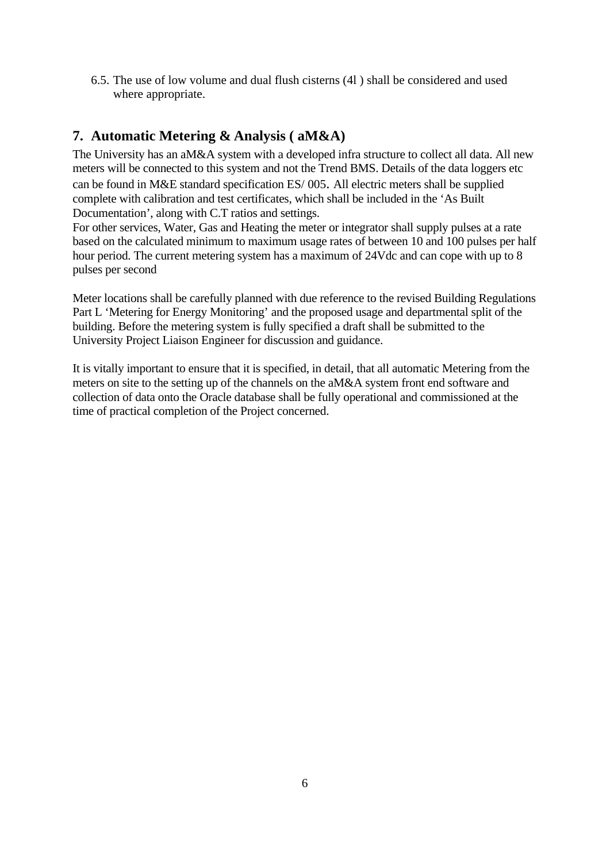6.5. The use of low volume and dual flush cisterns (4l ) shall be considered and used where appropriate.

# **7. Automatic Metering & Analysis ( aM&A)**

The University has an aM&A system with a developed infra structure to collect all data. All new meters will be connected to this system and not the Trend BMS. Details of the data loggers etc can be found in M&E standard specification ES/ 005. All electric meters shall be supplied complete with calibration and test certificates, which shall be included in the 'As Built Documentation', along with C.T ratios and settings.

For other services, Water, Gas and Heating the meter or integrator shall supply pulses at a rate based on the calculated minimum to maximum usage rates of between 10 and 100 pulses per half hour period. The current metering system has a maximum of 24Vdc and can cope with up to 8 pulses per second

Meter locations shall be carefully planned with due reference to the revised Building Regulations Part L 'Metering for Energy Monitoring' and the proposed usage and departmental split of the building. Before the metering system is fully specified a draft shall be submitted to the University Project Liaison Engineer for discussion and guidance.

It is vitally important to ensure that it is specified, in detail, that all automatic Metering from the meters on site to the setting up of the channels on the aM&A system front end software and collection of data onto the Oracle database shall be fully operational and commissioned at the time of practical completion of the Project concerned.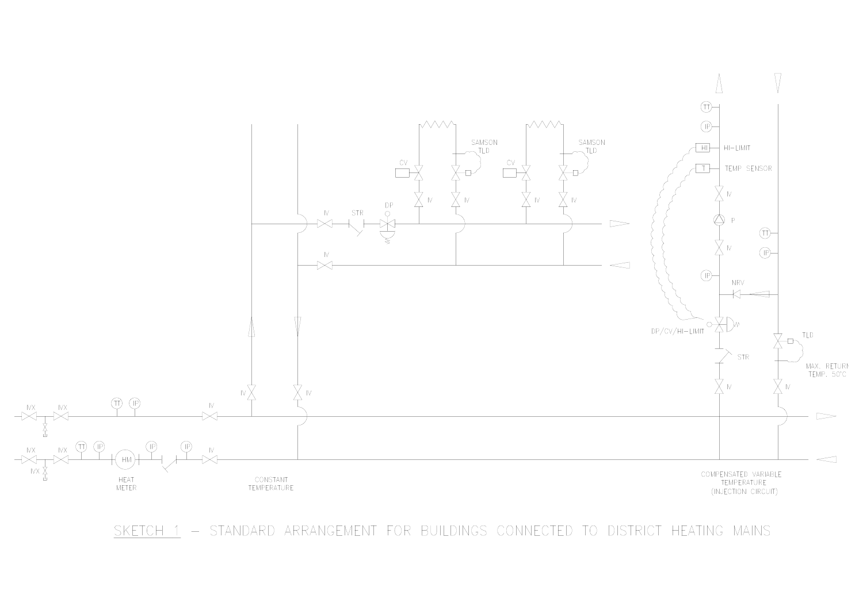

SKETCH 1 - STANDARD ARRANGEMENT FOR BUILDINGS CONNECTED TO DISTRICT HEATING MAINS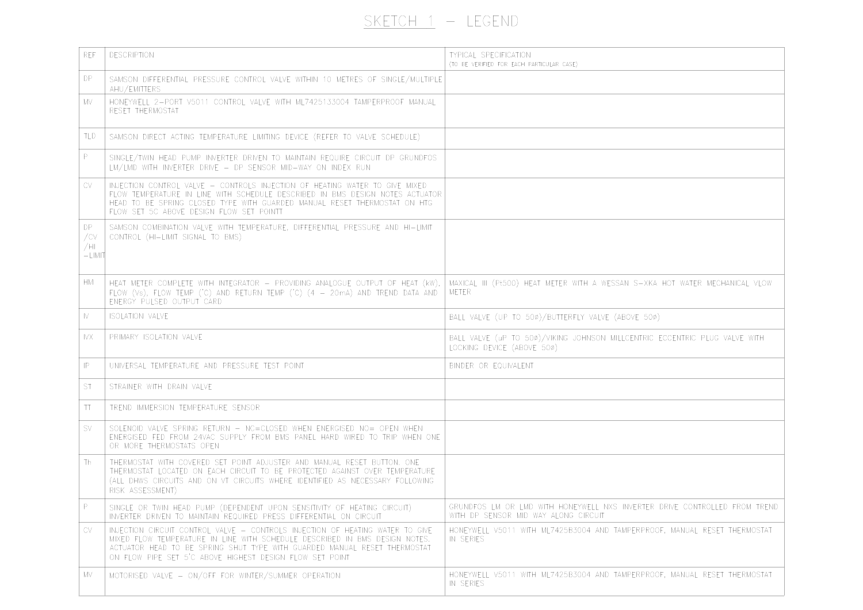# $SKETCH 1 - LEGEND$

| <b>REF</b>                    | <b>DESCRIPTION</b>                                                                                                                                                                                                                                                                                    | <b>TYPICAL SPECIFICATION</b><br>(TO BE VERIFIED FOR EACH PARTICULAR CASE)                                          |
|-------------------------------|-------------------------------------------------------------------------------------------------------------------------------------------------------------------------------------------------------------------------------------------------------------------------------------------------------|--------------------------------------------------------------------------------------------------------------------|
| DP                            | SAMSON DIFFERENTIAL PRESSURE CONTROL VALVE WITHIN 10 METRES OF SINGLE/MULTIPLE<br>AHU/EMITTERS                                                                                                                                                                                                        |                                                                                                                    |
| MV                            | HONEYWELL 2-PORT V5011 CONTROL VALVE WITH ML7425133004 TAMPERPROOF MANUAL<br>RESET THERMOSTAT                                                                                                                                                                                                         |                                                                                                                    |
| TLD                           | SAMSON DIRECT ACTING TEMPERATURE LIMITING DEVICE (REFER TO VALVE SCHEDULE)                                                                                                                                                                                                                            |                                                                                                                    |
| P                             | SINGLE/TWIN HEAD PUMP INVERTER DRIVEN TO MAINTAIN REQUIRE CIRCUIT DP GRUNDFOS<br>LM/LMD WITH INVERTER DRIVE - DP SENSOR MID-WAY ON INDEX RUN                                                                                                                                                          |                                                                                                                    |
| CV                            | INJECTION CONTROL VALVE - CONTROLS INJECTION OF HEATING WATER TO GIVE MIXED<br>FLOW TEMPERATURE IN LINE WITH SCHEDULE DESCRIBED IN BMS DESIGN NOTES ACTUATOR<br>HEAD TO BE SPRING CLOSED TYPE WITH GUARDED MANUAL RESET THERMOSTAT ON HTG<br>FLOW SET 5C ABOVE DESIGN FLOW SET POINTT                 |                                                                                                                    |
| DP.<br>/CV<br>/HL<br>$-LIMIT$ | SAMSON COMBINATION VALVE WITH TEMPERATURE, DIFFERENTIAL PRESSURE AND HI-LIMIT<br>CONTROL (HI-LIMIT SIGNAL TO BMS)                                                                                                                                                                                     |                                                                                                                    |
| <b>HM</b>                     | HEAT METER COMPLETE WITH INTEGRATOR - PROVIDING ANALOGUE OUTPUT OF HEAT (kW),<br>FLOW (Vs), FLOW TEMP ('C) AND RETURN TEMP ('C) (4 - 20mA) AND TREND DATA AND<br>ENERGY PULSED OUTPUT CARD                                                                                                            | MAXICAL III (Pt500) HEAT METER WITH A WESSAN S-XKA HOT WATER MECHANICAL VLOW<br>METER                              |
| IV.                           | <b>ISOLATION VALVE</b>                                                                                                                                                                                                                                                                                | BALL VALVE (UP TO 50¢)/BUTTERFLY VALVE (ABOVE 50¢)                                                                 |
| IVX                           | PRIMARY ISOLATION VALVE                                                                                                                                                                                                                                                                               | BALL VALVE (uP TO 500)/VIKING JOHNSON MILLCENTRIC ECCENTRIC PLUG VALVE WITH<br>LOCKING DEVICE (ABOVE 50¢)          |
| $\mathsf{IP}$                 | UNIVERSAL TEMPERATURE AND PRESSURE TEST POINT                                                                                                                                                                                                                                                         | BINDER OR EQUIVALENT                                                                                               |
| <b>ST</b>                     | STRAINER WITH DRAIN VALVE                                                                                                                                                                                                                                                                             |                                                                                                                    |
| TΤ                            | TREND IMMERSION TEMPERATURE SENSOR                                                                                                                                                                                                                                                                    |                                                                                                                    |
| <b>SV</b>                     | SOLENOID VALVE SPRING RETURN - NC=CLOSED WHEN ENERGISED NO= OPEN WHEN<br>ENERGISED FED FROM 24VAC SUPPLY FROM BMS PANEL HARD WIRED TO TRIP WHEN ONE<br>OR MORE THERMOSTATS OPEN                                                                                                                       |                                                                                                                    |
| Th                            | THERMOSTAT WITH COVERED SET POINT ADJUSTER AND MANUAL RESET BUTTON. ONE<br>THERMOSTAT LOCATED ON EACH CIRCUIT TO BE PROTECTED AGAINST OVER TEMPERATURE<br>(ALL DHWS CIRCUITS AND ON VT CIRCUITS WHERE IDENTIFIED AS NECESSARY FOLLOWING<br>RISK ASSESSMENT)                                           |                                                                                                                    |
| P.                            | SINGLE OR TWIN HEAD PUMP (DEPENDENT UPON SENSITIVITY OF HEATING CIRCUIT)<br>INVERTER DRIVEN TO MAINTAIN REQUIRED PRESS DIFFERENTIAL ON CIRCUIT                                                                                                                                                        | GRUNDFOS LM OR LMD WITH HONEYWELL NXS INVERTER DRIVE CONTROLLED FROM TREND<br>WITH DP SENSOR MID WAY ALONG CIRCUIT |
| <b>CV</b>                     | INJECTION CIRCUIT CONTROL VALVE - CONTROLS INJECTION OF HEATING WATER TO GIVE<br>MIXED FLOW TEMPERATURE IN LINE WITH SCHEDULE DESCRIBED IN BMS DESIGN NOTES.<br>ACTUATOR HEAD TO BE SPRING SHUT TYPE WITH GUARDED MANUAL RESET THERMOSTAT<br>ON FLOW PIPE SET 5'C ABOVE HIGHEST DESIGN FLOW SET POINT | HONEYWELL V5011 WITH ML7425B3004 AND TAMPERPROOF, MANUAL RESET THERMOSTAT<br>IN SERIES                             |
| MV                            | MOTORISED VALVE - ON/OFF FOR WINTER/SUMMER OPERATION                                                                                                                                                                                                                                                  | HONEYWELL V5011 WITH ML7425B3004 AND TAMPERPROOF, MANUAL RESET THERMOSTAT<br>IN SERIES                             |